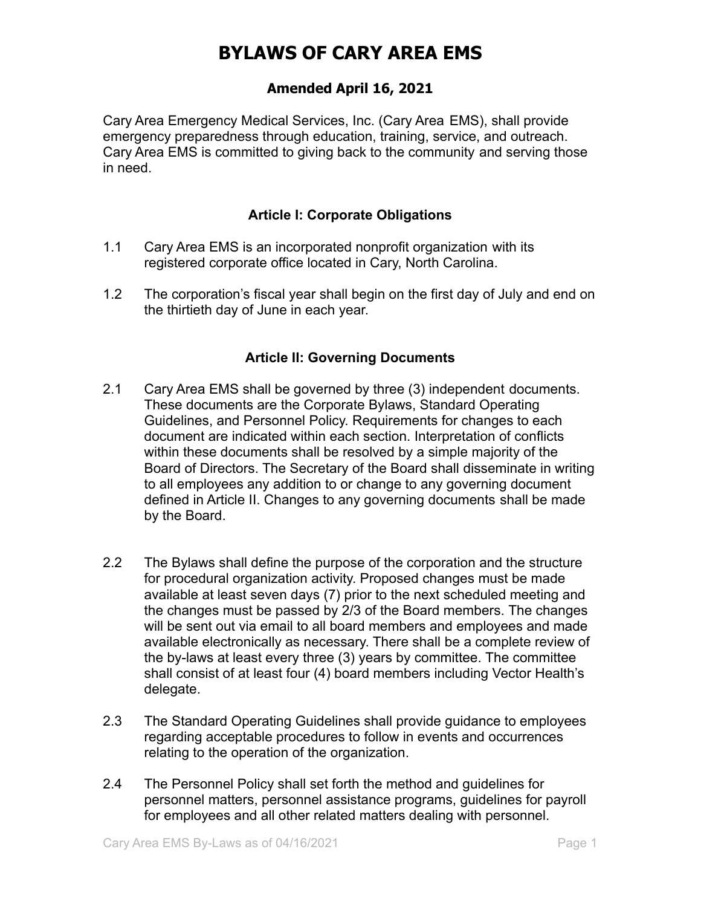## **Amended April 16, 2021**

Cary Area Emergency Medical Services, Inc. (Cary Area EMS), shall provide emergency preparedness through education, training, service, and outreach. Cary Area EMS is committed to giving back to the community and serving those in need.

### **Article I: Corporate Obligations**

- 1.1 Cary Area EMS is an incorporated nonprofit organization with its registered corporate office located in Cary, North Carolina.
- 1.2 The corporation's fiscal year shall begin on the first day of July and end on the thirtieth day of June in each year.

### **Article II: Governing Documents**

- 2.1 Cary Area EMS shall be governed by three (3) independent documents. These documents are the Corporate Bylaws, Standard Operating Guidelines, and Personnel Policy. Requirements for changes to each document are indicated within each section. Interpretation of conflicts within these documents shall be resolved by a simple majority of the Board of Directors. The Secretary of the Board shall disseminate in writing to all employees any addition to or change to any governing document defined in Article II. Changes to any governing documents shall be made by the Board.
- 2.2 The Bylaws shall define the purpose of the corporation and the structure for procedural organization activity. Proposed changes must be made available at least seven days (7) prior to the next scheduled meeting and the changes must be passed by 2/3 of the Board members. The changes will be sent out via email to all board members and employees and made available electronically as necessary. There shall be a complete review of the by-laws at least every three (3) years by committee. The committee shall consist of at least four (4) board members including Vector Health's delegate.
- 2.3 The Standard Operating Guidelines shall provide guidance to employees regarding acceptable procedures to follow in events and occurrences relating to the operation of the organization.
- 2.4 The Personnel Policy shall set forth the method and guidelines for personnel matters, personnel assistance programs, guidelines for payroll for employees and all other related matters dealing with personnel.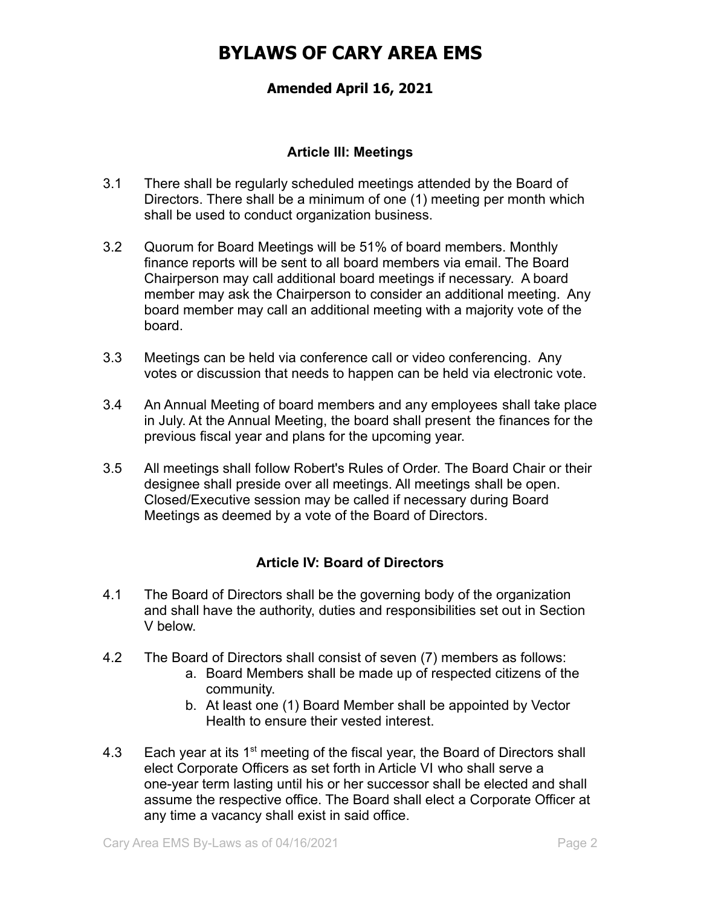## **Amended April 16, 2021**

#### **Article III: Meetings**

- 3.1 There shall be regularly scheduled meetings attended by the Board of Directors. There shall be a minimum of one (1) meeting per month which shall be used to conduct organization business.
- 3.2 Quorum for Board Meetings will be 51% of board members. Monthly finance reports will be sent to all board members via email. The Board Chairperson may call additional board meetings if necessary. A board member may ask the Chairperson to consider an additional meeting. Any board member may call an additional meeting with a majority vote of the board.
- 3.3 Meetings can be held via conference call or video conferencing. Any votes or discussion that needs to happen can be held via electronic vote.
- 3.4 An Annual Meeting of board members and any employees shall take place in July. At the Annual Meeting, the board shall present the finances for the previous fiscal year and plans for the upcoming year.
- 3.5 All meetings shall follow Robert's Rules of Order. The Board Chair or their designee shall preside over all meetings. All meetings shall be open. Closed/Executive session may be called if necessary during Board Meetings as deemed by a vote of the Board of Directors.

## **Article IV: Board of Directors**

- 4.1 The Board of Directors shall be the governing body of the organization and shall have the authority, duties and responsibilities set out in Section V below.
- 4.2 The Board of Directors shall consist of seven (7) members as follows:
	- a. Board Members shall be made up of respected citizens of the community.
	- b. At least one (1) Board Member shall be appointed by Vector Health to ensure their vested interest.
- 4.3 Each year at its  $1<sup>st</sup>$  meeting of the fiscal year, the Board of Directors shall elect Corporate Officers as set forth in Article VI who shall serve a one-year term lasting until his or her successor shall be elected and shall assume the respective office. The Board shall elect a Corporate Officer at any time a vacancy shall exist in said office.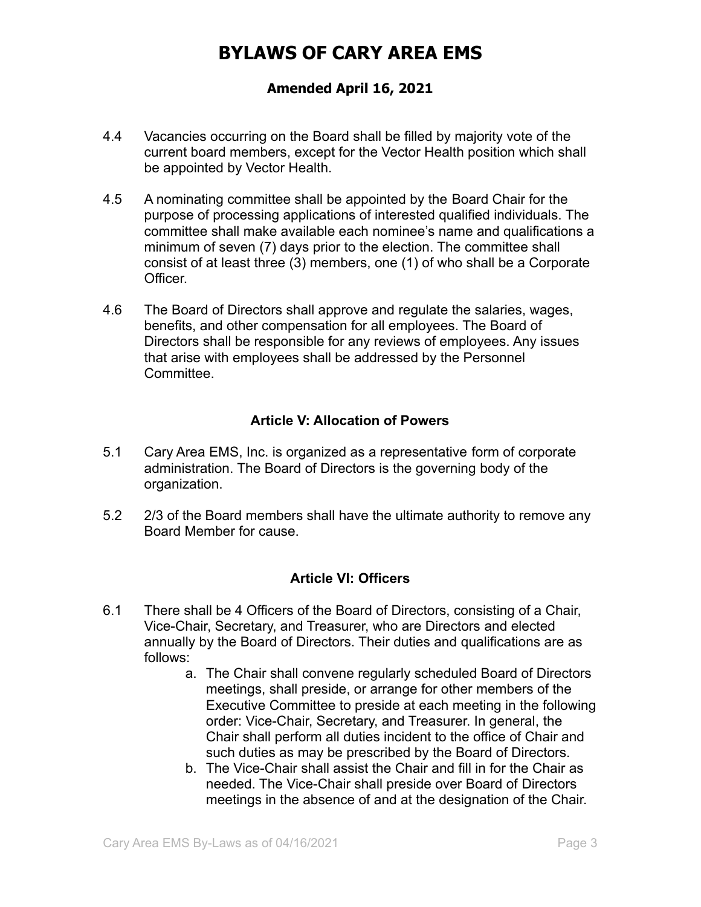## **Amended April 16, 2021**

- 4.4 Vacancies occurring on the Board shall be filled by majority vote of the current board members, except for the Vector Health position which shall be appointed by Vector Health.
- 4.5 A nominating committee shall be appointed by the Board Chair for the purpose of processing applications of interested qualified individuals. The committee shall make available each nominee's name and qualifications a minimum of seven (7) days prior to the election. The committee shall consist of at least three (3) members, one (1) of who shall be a Corporate Officer.
- 4.6 The Board of Directors shall approve and regulate the salaries, wages, benefits, and other compensation for all employees. The Board of Directors shall be responsible for any reviews of employees. Any issues that arise with employees shall be addressed by the Personnel Committee.

### **Article V: Allocation of Powers**

- 5.1 Cary Area EMS, Inc. is organized as a representative form of corporate administration. The Board of Directors is the governing body of the organization.
- 5.2 2/3 of the Board members shall have the ultimate authority to remove any Board Member for cause.

#### **Article VI: Officers**

- 6.1 There shall be 4 Officers of the Board of Directors, consisting of a Chair, Vice-Chair, Secretary, and Treasurer, who are Directors and elected annually by the Board of Directors. Their duties and qualifications are as follows:
	- a. The Chair shall convene regularly scheduled Board of Directors meetings, shall preside, or arrange for other members of the Executive Committee to preside at each meeting in the following order: Vice-Chair, Secretary, and Treasurer. In general, the Chair shall perform all duties incident to the office of Chair and such duties as may be prescribed by the Board of Directors.
	- b. The Vice-Chair shall assist the Chair and fill in for the Chair as needed. The Vice-Chair shall preside over Board of Directors meetings in the absence of and at the designation of the Chair.